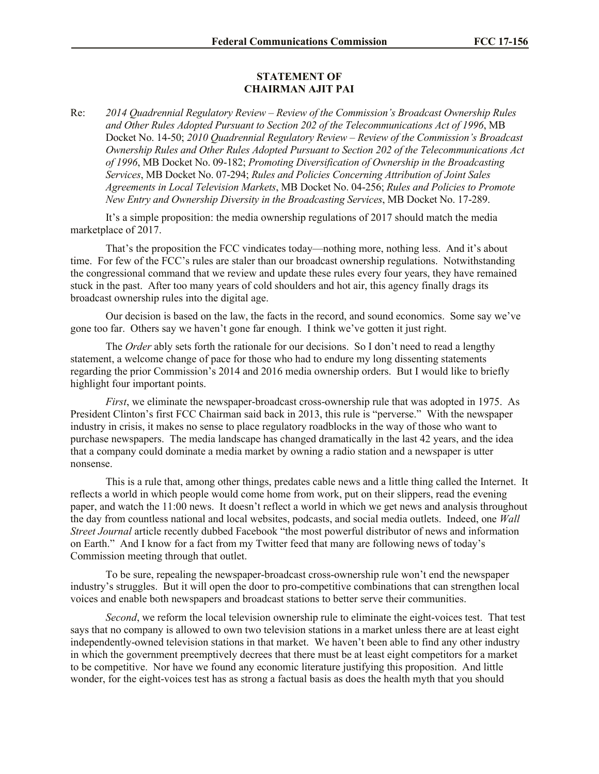## **STATEMENT OF CHAIRMAN AJIT PAI**

Re: *2014 Quadrennial Regulatory Review – Review of the Commission's Broadcast Ownership Rules and Other Rules Adopted Pursuant to Section 202 of the Telecommunications Act of 1996*, MB Docket No. 14-50; *2010 Quadrennial Regulatory Review – Review of the Commission's Broadcast Ownership Rules and Other Rules Adopted Pursuant to Section 202 of the Telecommunications Act of 1996*, MB Docket No. 09-182; *Promoting Diversification of Ownership in the Broadcasting Services*, MB Docket No. 07-294; *Rules and Policies Concerning Attribution of Joint Sales Agreements in Local Television Markets*, MB Docket No. 04-256; *Rules and Policies to Promote New Entry and Ownership Diversity in the Broadcasting Services*, MB Docket No. 17-289.

It's a simple proposition: the media ownership regulations of 2017 should match the media marketplace of 2017.

That's the proposition the FCC vindicates today—nothing more, nothing less. And it's about time. For few of the FCC's rules are staler than our broadcast ownership regulations. Notwithstanding the congressional command that we review and update these rules every four years, they have remained stuck in the past. After too many years of cold shoulders and hot air, this agency finally drags its broadcast ownership rules into the digital age.

Our decision is based on the law, the facts in the record, and sound economics. Some say we've gone too far. Others say we haven't gone far enough. I think we've gotten it just right.

The *Order* ably sets forth the rationale for our decisions. So I don't need to read a lengthy statement, a welcome change of pace for those who had to endure my long dissenting statements regarding the prior Commission's 2014 and 2016 media ownership orders. But I would like to briefly highlight four important points.

*First*, we eliminate the newspaper-broadcast cross-ownership rule that was adopted in 1975. As President Clinton's first FCC Chairman said back in 2013, this rule is "perverse." With the newspaper industry in crisis, it makes no sense to place regulatory roadblocks in the way of those who want to purchase newspapers. The media landscape has changed dramatically in the last 42 years, and the idea that a company could dominate a media market by owning a radio station and a newspaper is utter nonsense.

This is a rule that, among other things, predates cable news and a little thing called the Internet. It reflects a world in which people would come home from work, put on their slippers, read the evening paper, and watch the 11:00 news. It doesn't reflect a world in which we get news and analysis throughout the day from countless national and local websites, podcasts, and social media outlets. Indeed, one *Wall Street Journal* article recently dubbed Facebook "the most powerful distributor of news and information on Earth." And I know for a fact from my Twitter feed that many are following news of today's Commission meeting through that outlet.

To be sure, repealing the newspaper-broadcast cross-ownership rule won't end the newspaper industry's struggles. But it will open the door to pro-competitive combinations that can strengthen local voices and enable both newspapers and broadcast stations to better serve their communities.

*Second*, we reform the local television ownership rule to eliminate the eight-voices test. That test says that no company is allowed to own two television stations in a market unless there are at least eight independently-owned television stations in that market. We haven't been able to find any other industry in which the government preemptively decrees that there must be at least eight competitors for a market to be competitive. Nor have we found any economic literature justifying this proposition. And little wonder, for the eight-voices test has as strong a factual basis as does the health myth that you should